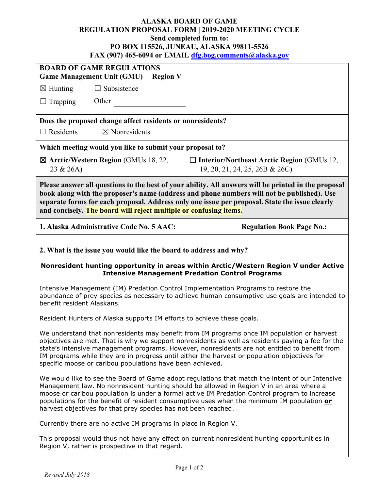## **ALASKA BOARD OF GAME REGULATION PROPOSAL FORM | 2019-2020 MEETING CYCLE Send completed form to: PO BOX 115526, JUNEAU, ALASKA 99811-5526 FAX (907) 465-6094 or EMAIL [dfg.bog.comments@alaska.gov](mailto:dfg.bog.comments@alaska.gov)**

| <b>BOARD OF GAME REGULATIONS</b><br><b>Game Management Unit (GMU)</b> Region V                                                                                                                                                                                                                                                                                                                                                                                |  |  |  |
|---------------------------------------------------------------------------------------------------------------------------------------------------------------------------------------------------------------------------------------------------------------------------------------------------------------------------------------------------------------------------------------------------------------------------------------------------------------|--|--|--|
| $\Box$ Subsistence<br>$\boxtimes$ Hunting                                                                                                                                                                                                                                                                                                                                                                                                                     |  |  |  |
| Other<br>$\Box$ Trapping                                                                                                                                                                                                                                                                                                                                                                                                                                      |  |  |  |
| Does the proposed change affect residents or nonresidents?                                                                                                                                                                                                                                                                                                                                                                                                    |  |  |  |
| $\Box$ Residents<br>$\boxtimes$ Nonresidents                                                                                                                                                                                                                                                                                                                                                                                                                  |  |  |  |
| Which meeting would you like to submit your proposal to?                                                                                                                                                                                                                                                                                                                                                                                                      |  |  |  |
| $\boxtimes$ Arctic/Western Region (GMUs 18, 22,<br>$\Box$ Interior/Northeast Arctic Region (GMUs 12,<br>23 & 26A)<br>19, 20, 21, 24, 25, 26B & 26C)                                                                                                                                                                                                                                                                                                           |  |  |  |
| Please answer all questions to the best of your ability. All answers will be printed in the proposal<br>book along with the proposer's name (address and phone numbers will not be published). Use<br>separate forms for each proposal. Address only one issue per proposal. State the issue clearly<br>and concisely. The board will reject multiple or confusing items.                                                                                     |  |  |  |
| 1. Alaska Administrative Code No. 5 AAC:<br><b>Regulation Book Page No.:</b>                                                                                                                                                                                                                                                                                                                                                                                  |  |  |  |
| 2. What is the issue you would like the board to address and why?<br>Nonresident hunting opportunity in areas within Arctic/Western Region V under Active                                                                                                                                                                                                                                                                                                     |  |  |  |
| <b>Intensive Management Predation Control Programs</b>                                                                                                                                                                                                                                                                                                                                                                                                        |  |  |  |
|                                                                                                                                                                                                                                                                                                                                                                                                                                                               |  |  |  |
| Intensive Management (IM) Predation Control Implementation Programs to restore the<br>abundance of prey species as necessary to achieve human consumptive use goals are intended to<br>benefit resident Alaskans.                                                                                                                                                                                                                                             |  |  |  |
| Resident Hunters of Alaska supports IM efforts to achieve these goals.                                                                                                                                                                                                                                                                                                                                                                                        |  |  |  |
| We understand that nonresidents may benefit from IM programs once IM population or harvest<br>objectives are met. That is why we support nonresidents as well as residents paying a fee for the<br>state's intensive management programs. However, nonresidents are not entitled to benefit from<br>IM programs while they are in progress until either the harvest or population objectives for<br>specific moose or caribou populations have been achieved. |  |  |  |
| We would like to see the Board of Game adopt regulations that match the intent of our Intensive<br>Management law. No nonresident hunting should be allowed in Region V in an area where a<br>moose or caribou population is under a formal active IM Predation Control program to increase<br>populations for the benefit of resident consumptive uses when the minimum IM population or<br>harvest objectives for that prey species has not been reached.   |  |  |  |
| Currently there are no active IM programs in place in Region V.                                                                                                                                                                                                                                                                                                                                                                                               |  |  |  |